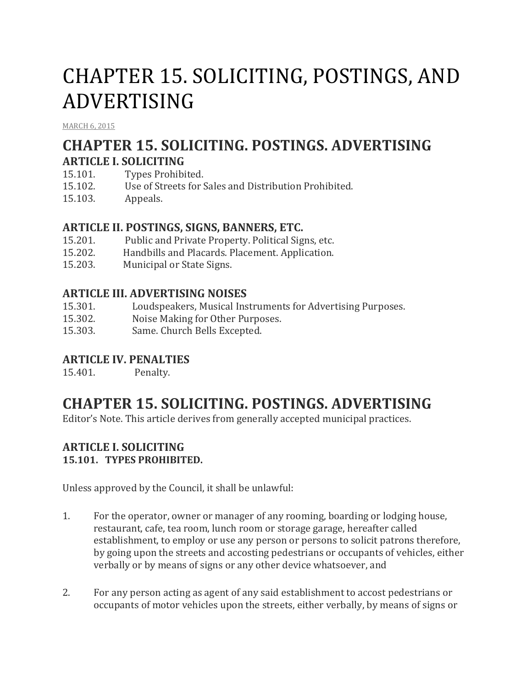# CHAPTER 15. SOLICITING, POSTINGS, AND ADVERTISING

[MARCH](http://townofcampobello.us/chapter-15-soliciting-postings-and-advertising/) 6, 2015

# **CHAPTER 15. SOLICITING. POSTINGS. ADVERTISING ARTICLE I. SOLICITING**

- 15.101. Types Prohibited.
- 15.102. Use of Streets for Sales and Distribution Prohibited.
- 15.103. Appeals.

# **ARTICLE II. POSTINGS, SIGNS, BANNERS, ETC.**

- 15.201. Public and Private Property. Political Signs, etc.
- 15.202. Handbills and Placards. Placement. Application.
- 15.203. Municipal or State Signs.

### **ARTICLE III. ADVERTISING NOISES**

- 15.301. Loudspeakers, Musical Instruments for Advertising Purposes.
- 15.302. Noise Making for Other Purposes.
- 15.303. Same. Church Bells Excepted.

### **ARTICLE IV. PENALTIES**

15.401. Penalty.

# **CHAPTER 15. SOLICITING. POSTINGS. ADVERTISING**

Editor's Note. This article derives from generally accepted municipal practices.

#### **ARTICLE I. SOLICITING 15.101. TYPES PROHIBITED.**

Unless approved by the Council, it shall be unlawful:

- 1. For the operator, owner or manager of any rooming, boarding or lodging house, restaurant, cafe, tea room, lunch room or storage garage, hereafter called establishment, to employ or use any person or persons to solicit patrons therefore, by going upon the streets and accosting pedestrians or occupants of vehicles, either verbally or by means of signs or any other device whatsoever, and
- 2. For any person acting as agent of any said establishment to accost pedestrians or occupants of motor vehicles upon the streets, either verbally, by means of signs or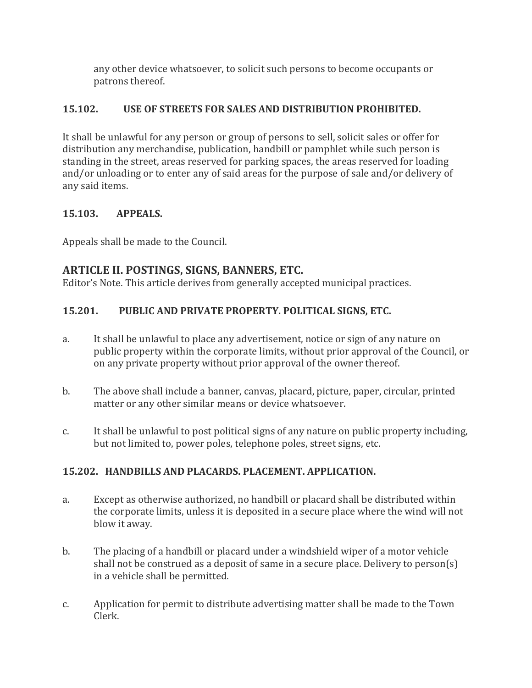any other device whatsoever, to solicit such persons to become occupants or patrons thereof.

# **15.102. USE OF STREETS FOR SALES AND DISTRIBUTION PROHIBITED.**

It shall be unlawful for any person or group of persons to sell, solicit sales or offer for distribution any merchandise, publication, handbill or pamphlet while such person is standing in the street, areas reserved for parking spaces, the areas reserved for loading and/or unloading or to enter any of said areas for the purpose of sale and/or delivery of any said items.

# **15.103. APPEALS.**

Appeals shall be made to the Council.

# **ARTICLE II. POSTINGS, SIGNS, BANNERS, ETC.**

Editor's Note. This article derives from generally accepted municipal practices.

# **15.201. PUBLIC AND PRIVATE PROPERTY. POLITICAL SIGNS, ETC.**

- a. It shall be unlawful to place any advertisement, notice or sign of any nature on public property within the corporate limits, without prior approval of the Council, or on any private property without prior approval of the owner thereof.
- b. The above shall include a banner, canvas, placard, picture, paper, circular, printed matter or any other similar means or device whatsoever.
- c. It shall be unlawful to post political signs of any nature on public property including, but not limited to, power poles, telephone poles, street signs, etc.

# **15.202. HANDBILLS AND PLACARDS. PLACEMENT. APPLICATION.**

- a. Except as otherwise authorized, no handbill or placard shall be distributed within the corporate limits, unless it is deposited in a secure place where the wind will not blow it away.
- b. The placing of a handbill or placard under a windshield wiper of a motor vehicle shall not be construed as a deposit of same in a secure place. Delivery to person(s) in a vehicle shall be permitted.
- c. Application for permit to distribute advertising matter shall be made to the Town Clerk.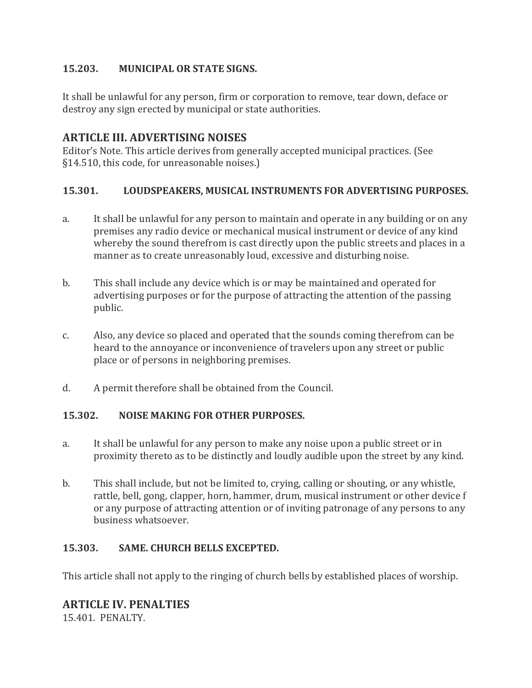## **15.203. MUNICIPAL OR STATE SIGNS.**

It shall be unlawful for any person, firm or corporation to remove, tear down, deface or destroy any sign erected by municipal or state authorities.

# **ARTICLE III. ADVERTISING NOISES**

Editor's Note. This article derives from generally accepted municipal practices. (See §14.510, this code, for unreasonable noises.)

### **15.301. LOUDSPEAKERS, MUSICAL INSTRUMENTS FOR ADVERTISING PURPOSES.**

- a. It shall be unlawful for any person to maintain and operate in any building or on any premises any radio device or mechanical musical instrument or device of any kind whereby the sound therefrom is cast directly upon the public streets and places in a manner as to create unreasonably loud, excessive and disturbing noise.
- b. This shall include any device which is or may be maintained and operated for advertising purposes or for the purpose of attracting the attention of the passing public.
- c. Also, any device so placed and operated that the sounds coming therefrom can be heard to the annoyance or inconvenience of travelers upon any street or public place or of persons in neighboring premises.
- d. A permit therefore shall be obtained from the Council.

### **15.302. NOISE MAKING FOR OTHER PURPOSES.**

- a. It shall be unlawful for any person to make any noise upon a public street or in proximity thereto as to be distinctly and loudly audible upon the street by any kind.
- b. This shall include, but not be limited to, crying, calling or shouting, or any whistle, rattle, bell, gong, clapper, horn, hammer, drum, musical instrument or other device f or any purpose of attracting attention or of inviting patronage of any persons to any business whatsoever.

### **15.303. SAME. CHURCH BELLS EXCEPTED.**

This article shall not apply to the ringing of church bells by established places of worship.

# **ARTICLE IV. PENALTIES**

15.401. PENALTY.